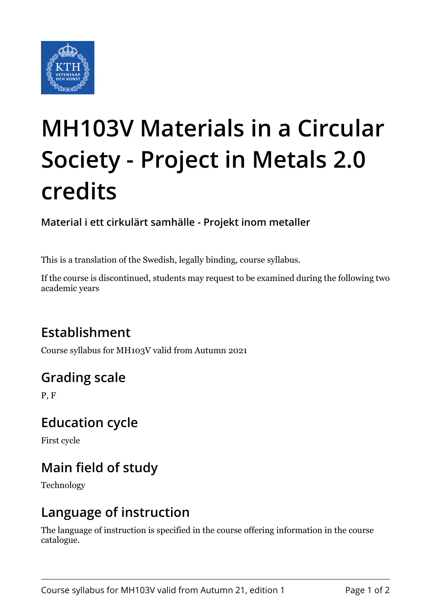

# **MH103V Materials in a Circular Society - Project in Metals 2.0 credits**

**Material i ett cirkulärt samhälle - Projekt inom metaller**

This is a translation of the Swedish, legally binding, course syllabus.

If the course is discontinued, students may request to be examined during the following two academic years

# **Establishment**

Course syllabus for MH103V valid from Autumn 2021

# **Grading scale**

P, F

## **Education cycle**

First cycle

# **Main field of study**

Technology

## **Language of instruction**

The language of instruction is specified in the course offering information in the course catalogue.